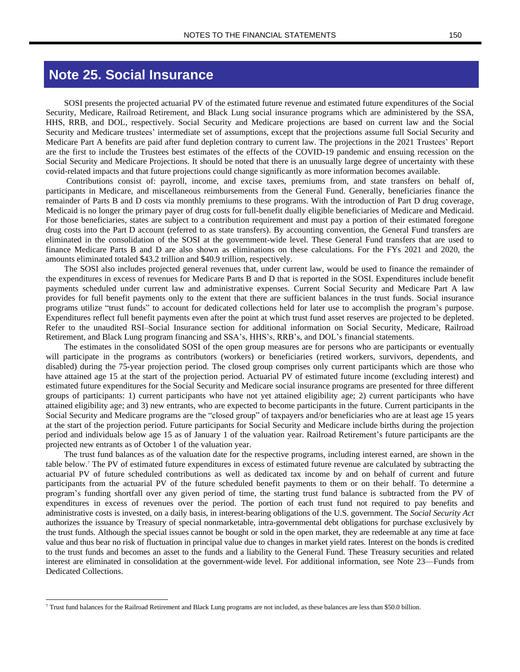# **Note 25. Social Insurance**

SOSI presents the projected actuarial PV of the estimated future revenue and estimated future expenditures of the Social Security, Medicare, Railroad Retirement, and Black Lung social insurance programs which are administered by the SSA, HHS, RRB, and DOL, respectively. Social Security and Medicare projections are based on current law and the Social Security and Medicare trustees' intermediate set of assumptions, except that the projections assume full Social Security and Medicare Part A benefits are paid after fund depletion contrary to current law. The projections in the 2021 Trustees' Report are the first to include the Trustees best estimates of the effects of the COVID-19 pandemic and ensuing recession on the Social Security and Medicare Projections. It should be noted that there is an unusually large degree of uncertainty with these covid-related impacts and that future projections could change significantly as more information becomes available.

Contributions consist of: payroll, income, and excise taxes, premiums from, and state transfers on behalf of, participants in Medicare, and miscellaneous reimbursements from the General Fund. Generally, beneficiaries finance the remainder of Parts B and D costs via monthly premiums to these programs. With the introduction of Part D drug coverage, Medicaid is no longer the primary payer of drug costs for full-benefit dually eligible beneficiaries of Medicare and Medicaid. For those beneficiaries, states are subject to a contribution requirement and must pay a portion of their estimated foregone drug costs into the Part D account (referred to as state transfers). By accounting convention, the General Fund transfers are eliminated in the consolidation of the SOSI at the government-wide level. These General Fund transfers that are used to finance Medicare Parts B and D are also shown as eliminations on these calculations. For the FYs 2021 and 2020, the amounts eliminated totaled \$43.2 trillion and \$40.9 trillion, respectively.

The SOSI also includes projected general revenues that, under current law, would be used to finance the remainder of the expenditures in excess of revenues for Medicare Parts B and D that is reported in the SOSI. Expenditures include benefit payments scheduled under current law and administrative expenses. Current Social Security and Medicare Part A law provides for full benefit payments only to the extent that there are sufficient balances in the trust funds. Social insurance programs utilize "trust funds" to account for dedicated collections held for later use to accomplish the program's purpose. Expenditures reflect full benefit payments even after the point at which trust fund asset reserves are projected to be depleted. Refer to the unaudited RSI–Social Insurance section for additional information on Social Security, Medicare, Railroad Retirement, and Black Lung program financing and SSA's, HHS's, RRB's, and DOL's financial statements.

The estimates in the consolidated SOSI of the open group measures are for persons who are participants or eventually will participate in the programs as contributors (workers) or beneficiaries (retired workers, survivors, dependents, and disabled) during the 75-year projection period. The closed group comprises only current participants which are those who have attained age 15 at the start of the projection period. Actuarial PV of estimated future income (excluding interest) and estimated future expenditures for the Social Security and Medicare social insurance programs are presented for three different groups of participants: 1) current participants who have not yet attained eligibility age; 2) current participants who have attained eligibility age; and 3) new entrants, who are expected to become participants in the future. Current participants in the Social Security and Medicare programs are the "closed group" of taxpayers and/or beneficiaries who are at least age 15 years at the start of the projection period. Future participants for Social Security and Medicare include births during the projection period and individuals below age 15 as of January 1 of the valuation year. Railroad Retirement's future participants are the projected new entrants as of October 1 of the valuation year.

The trust fund balances as of the valuation date for the respective programs, including interest earned, are shown in the table below.<sup>7</sup> The PV of estimated future expenditures in excess of estimated future revenue are calculated by subtracting the actuarial PV of future scheduled contributions as well as dedicated tax income by and on behalf of current and future participants from the actuarial PV of the future scheduled benefit payments to them or on their behalf. To determine a program's funding shortfall over any given period of time, the starting trust fund balance is subtracted from the PV of expenditures in excess of revenues over the period. The portion of each trust fund not required to pay benefits and administrative costs is invested, on a daily basis, in interest-bearing obligations of the U.S. government. The *Social Security Act* authorizes the issuance by Treasury of special nonmarketable, intra-governmental debt obligations for purchase exclusively by the trust funds. Although the special issues cannot be bought or sold in the open market, they are redeemable at any time at face value and thus bear no risk of fluctuation in principal value due to changes in market yield rates. Interest on the bonds is credited to the trust funds and becomes an asset to the funds and a liability to the General Fund. These Treasury securities and related interest are eliminated in consolidation at the government-wide level. For additional information, see Note 23—Funds from Dedicated Collections.

<sup>7</sup> Trust fund balances for the Railroad Retirement and Black Lung programs are not included, as these balances are less than \$50.0 billion.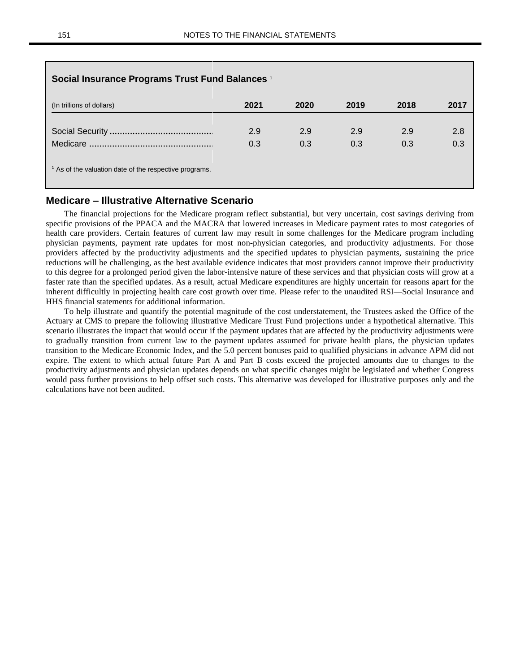| Social Insurance Programs Trust Fund Balances 1                   |      |      |      |      |      |
|-------------------------------------------------------------------|------|------|------|------|------|
| (In trillions of dollars)                                         | 2021 | 2020 | 2019 | 2018 | 2017 |
|                                                                   | 2.9  | 2.9  | 2.9  | 2.9  | 2.8  |
|                                                                   | 0.3  | 0.3  | 0.3  | 0.3  | 0.3  |
| <sup>1</sup> As of the valuation date of the respective programs. |      |      |      |      |      |

## **Medicare – Illustrative Alternative Scenario**

The financial projections for the Medicare program reflect substantial, but very uncertain, cost savings deriving from specific provisions of the PPACA and the MACRA that lowered increases in Medicare payment rates to most categories of health care providers. Certain features of current law may result in some challenges for the Medicare program including physician payments, payment rate updates for most non-physician categories, and productivity adjustments. For those providers affected by the productivity adjustments and the specified updates to physician payments, sustaining the price reductions will be challenging, as the best available evidence indicates that most providers cannot improve their productivity to this degree for a prolonged period given the labor-intensive nature of these services and that physician costs will grow at a faster rate than the specified updates. As a result, actual Medicare expenditures are highly uncertain for reasons apart for the inherent difficultly in projecting health care cost growth over time. Please refer to the unaudited RSI—Social Insurance and HHS financial statements for additional information.

To help illustrate and quantify the potential magnitude of the cost understatement, the Trustees asked the Office of the Actuary at CMS to prepare the following illustrative Medicare Trust Fund projections under a hypothetical alternative. This scenario illustrates the impact that would occur if the payment updates that are affected by the productivity adjustments were to gradually transition from current law to the payment updates assumed for private health plans, the physician updates transition to the Medicare Economic Index, and the 5.0 percent bonuses paid to qualified physicians in advance APM did not expire. The extent to which actual future Part A and Part B costs exceed the projected amounts due to changes to the productivity adjustments and physician updates depends on what specific changes might be legislated and whether Congress would pass further provisions to help offset such costs. This alternative was developed for illustrative purposes only and the calculations have not been audited.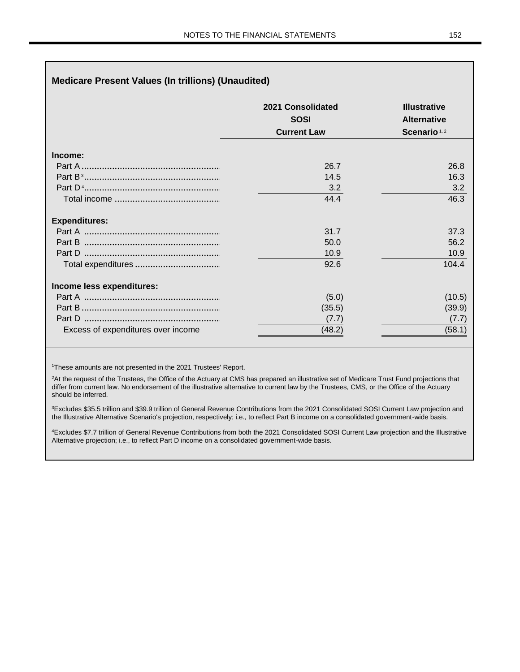|                                    | 2021 Consolidated  | <b>Illustrative</b><br><b>Alternative</b><br>Scenario <sup>1,2</sup> |  |
|------------------------------------|--------------------|----------------------------------------------------------------------|--|
|                                    | <b>SOSI</b>        |                                                                      |  |
|                                    | <b>Current Law</b> |                                                                      |  |
| Income:                            |                    |                                                                      |  |
|                                    | 26.7               | 26.8                                                                 |  |
|                                    | 14.5               | 16.3                                                                 |  |
|                                    | 3.2                | 3.2                                                                  |  |
|                                    | 44.4               | 46.3                                                                 |  |
| <b>Expenditures:</b>               |                    |                                                                      |  |
|                                    | 31.7               | 37.3                                                                 |  |
|                                    | 50.0               | 56.2                                                                 |  |
|                                    | 10.9               | 10.9                                                                 |  |
|                                    | 92.6               | 104.4                                                                |  |
| Income less expenditures:          |                    |                                                                      |  |
|                                    | (5.0)              | (10.5)                                                               |  |
|                                    | (35.5)             | (39.9)                                                               |  |
|                                    | (7.7)              | (7.7)                                                                |  |
| Excess of expenditures over income | (48.2)             | (58.1)                                                               |  |

<sup>1</sup>These amounts are not presented in the 2021 Trustees' Report.

<sup>2</sup>At the request of the Trustees, the Office of the Actuary at CMS has prepared an illustrative set of Medicare Trust Fund projections that differ from current law. No endorsement of the illustrative alternative to current law by the Trustees, CMS, or the Office of the Actuary should be inferred.

<sup>3</sup>Excludes \$35.5 trillion and \$39.9 trillion of General Revenue Contributions from the 2021 Consolidated SOSI Current Law projection and the Illustrative Alternative Scenario's projection, respectively; i.e., to reflect Part B income on a consolidated government-wide basis.

<sup>4</sup>Excludes \$7.7 trillion of General Revenue Contributions from both the 2021 Consolidated SOSI Current Law projection and the Illustrative Alternative projection; i.e., to reflect Part D income on a consolidated government-wide basis.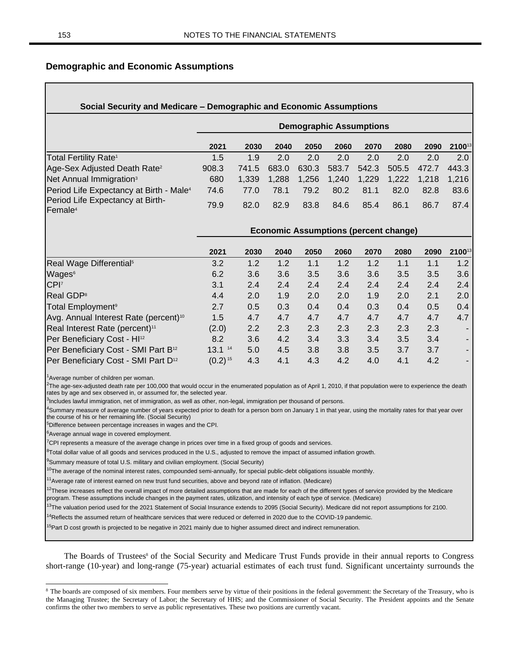## **Demographic and Economic Assumptions**

# **Social Security and Medicare – Demographic and Economic Assumptions Demographic Assumptions 2021 2030 2040 2050 2060 2070 2080 2090 2100**<sup>13</sup> Total Fertility Rate<sup>1</sup> 1.5 1.9 2.0 2.0 2.0 2.0 2.0 2.0 2.0 Age-Sex Adjusted Death Rate<sup>2</sup> 908.3 741.5 683.0 630.3 583.7 542.3 505.5 472.7 443.3 Net Annual Immigration<sup>3</sup> 680 1,339 1,288 1,256 1,240 1,229 1,222 1,218 1,216 Period Life Expectancy at Birth - Male<sup>4</sup> 74.6 77.0 78.1 79.2 80.2 81.1 82.0 82.8 83.6 Period Life Expectancy at Birth-Female<sup>4</sup> 79.9 82.0 82.9 83.8 84.6 85.4 86.1 86.7 87.4 **Economic Assumptions (percent change) 2021 2030 2040 2050 2060 2070 2080 2090 2100**<sup>13</sup> Real Wage Differential<sup>5</sup> 3.2 1.2 1.2 1.1 1.2 1.2 1.1 1.1 1.2 Wages $^{6}$  6.2 3.6 3.6 3.6 3.6 3.6 3.6 3.5 3.5 3.6 3.6  $^{3}$ CPI<sup>7</sup> 3.1 2.4 2.4 2.4 2.4 2.4 2.4 2.4 2.4 Real GDP<sup>8</sup> 4.4 2.0 1.9 2.0 2.0 1.9 2.0 2.1 2.0 Total Employment<sup>9</sup> 2.7 0.5 0.3 0.4 0.4 0.3 0.4 0.5 0.4 Avg. Annual Interest Rate (percent)<sup>10</sup> 1.5 4.7 4.7 4.7 4.7 4.7 4.7 4.7 4.7 4.7 Real Interest Rate (percent)<sup>11</sup> (2.0) 2.2 2.3 2.3 2.3 2.3 2.3 2.3 -Per Beneficiary Cost - HI<sup>12</sup> 8.2 3.6 4.2 3.4 3.3 3.4 3.5 3.4 Per Beneficiary Cost - SMI Part B<sup>12</sup> 13.1<sup>14</sup> 5.0 4.5 3.8 3.8 3.5 3.7 3.7 Per Beneficiary Cost - SMI Part D<sup>12</sup>  $(0.2)^{15}$  4.3 4.1 4.3 4.2 4.0 4.1 4.2

<sup>1</sup>Average number of children per woman.

<sup>2</sup>The age-sex-adjusted death rate per 100,000 that would occur in the enumerated population as of April 1, 2010, if that population were to experience the death rates by age and sex observed in, or assumed for, the selected year.

<sup>3</sup>Includes lawful immigration, net of immigration, as well as other, non-legal, immigration per thousand of persons.

<sup>4</sup>Summary measure of average number of years expected prior to death for a person born on January 1 in that year, using the mortality rates for that year over the course of his or her remaining life. (Social Security)

<sup>5</sup>Difference between percentage increases in wages and the CPI.

<sup>6</sup>Average annual wage in covered employment.

<sup>7</sup>CPI represents a measure of the average change in prices over time in a fixed group of goods and services.

<sup>8</sup>Total dollar value of all goods and services produced in the U.S., adjusted to remove the impact of assumed inflation growth.

<sup>9</sup>Summary measure of total U.S. military and civilian employment. (Social Security)

 $^{10}$ The average of the nominal interest rates, compounded semi-annually, for special public-debt obligations issuable monthly.

 $11$ Average rate of interest earned on new trust fund securities, above and beyond rate of inflation. (Medicare)

 $12$ These increases reflect the overall impact of more detailed assumptions that are made for each of the different types of service provided by the Medicare program. These assumptions include changes in the payment rates, utilization, and intensity of each type of service. (Medicare)

<sup>13</sup>The valuation period used for the 2021 Statement of Social Insurance extends to 2095 (Social Security). Medicare did not report assumptions for 2100.

 $14$ Reflects the assumed return of healthcare services that were reduced or deferred in 2020 due to the COVID-19 pandemic.

<sup>15</sup>Part D cost growth is projected to be negative in 2021 mainly due to higher assumed direct and indirect remuneration.

The Boards of Trustees<sup>8</sup> of the Social Security and Medicare Trust Funds provide in their annual reports to Congress short-range (10-year) and long-range (75-year) actuarial estimates of each trust fund. Significant uncertainty surrounds the

<sup>&</sup>lt;sup>8</sup> The boards are composed of six members. Four members serve by virtue of their positions in the federal government: the Secretary of the Treasury, who is the Managing Trustee; the Secretary of Labor; the Secretary of HHS; and the Commissioner of Social Security. The President appoints and the Senate confirms the other two members to serve as public representatives. These two positions are currently vacant.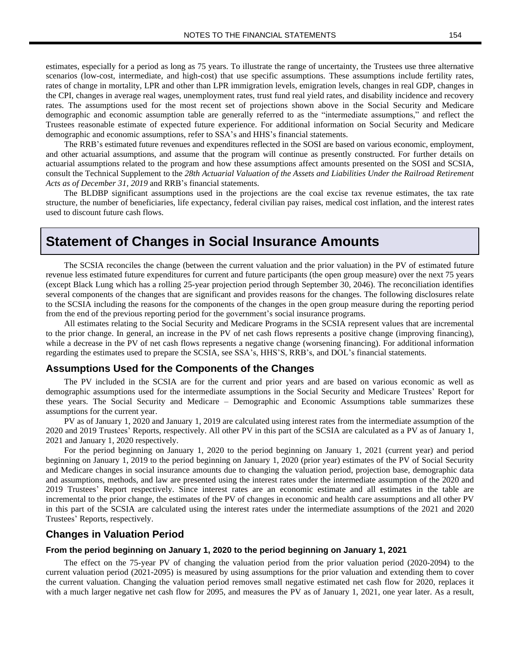estimates, especially for a period as long as 75 years. To illustrate the range of uncertainty, the Trustees use three alternative scenarios (low-cost, intermediate, and high-cost) that use specific assumptions. These assumptions include fertility rates, rates of change in mortality, LPR and other than LPR immigration levels, emigration levels, changes in real GDP, changes in the CPI, changes in average real wages, unemployment rates, trust fund real yield rates, and disability incidence and recovery rates. The assumptions used for the most recent set of projections shown above in the Social Security and Medicare demographic and economic assumption table are generally referred to as the "intermediate assumptions," and reflect the Trustees reasonable estimate of expected future experience. For additional information on Social Security and Medicare demographic and economic assumptions, refer to SSA's and HHS's financial statements.

The RRB's estimated future revenues and expenditures reflected in the SOSI are based on various economic, employment, and other actuarial assumptions, and assume that the program will continue as presently constructed. For further details on actuarial assumptions related to the program and how these assumptions affect amounts presented on the SOSI and SCSIA, consult the Technical Supplement to the *28th Actuarial Valuation of the Assets and Liabilities Under the Railroad Retirement Acts as of December 31, 2019* and RRB's financial statements.

The BLDBP significant assumptions used in the projections are the coal excise tax revenue estimates, the tax rate structure, the number of beneficiaries, life expectancy, federal civilian pay raises, medical cost inflation, and the interest rates used to discount future cash flows.

# **Statement of Changes in Social Insurance Amounts**

The SCSIA reconciles the change (between the current valuation and the prior valuation) in the PV of estimated future revenue less estimated future expenditures for current and future participants (the open group measure) over the next 75 years (except Black Lung which has a rolling 25-year projection period through September 30, 2046). The reconciliation identifies several components of the changes that are significant and provides reasons for the changes. The following disclosures relate to the SCSIA including the reasons for the components of the changes in the open group measure during the reporting period from the end of the previous reporting period for the government's social insurance programs.

All estimates relating to the Social Security and Medicare Programs in the SCSIA represent values that are incremental to the prior change. In general, an increase in the PV of net cash flows represents a positive change (improving financing), while a decrease in the PV of net cash flows represents a negative change (worsening financing). For additional information regarding the estimates used to prepare the SCSIA, see SSA's, HHS'S, RRB's, and DOL's financial statements.

#### **Assumptions Used for the Components of the Changes**

The PV included in the SCSIA are for the current and prior years and are based on various economic as well as demographic assumptions used for the intermediate assumptions in the Social Security and Medicare Trustees' Report for these years. The Social Security and Medicare – Demographic and Economic Assumptions table summarizes these assumptions for the current year.

PV as of January 1, 2020 and January 1, 2019 are calculated using interest rates from the intermediate assumption of the 2020 and 2019 Trustees' Reports, respectively. All other PV in this part of the SCSIA are calculated as a PV as of January 1, 2021 and January 1, 2020 respectively.

For the period beginning on January 1, 2020 to the period beginning on January 1, 2021 (current year) and period beginning on January 1, 2019 to the period beginning on January 1, 2020 (prior year) estimates of the PV of Social Security and Medicare changes in social insurance amounts due to changing the valuation period, projection base, demographic data and assumptions, methods, and law are presented using the interest rates under the intermediate assumption of the 2020 and 2019 Trustees' Report respectively. Since interest rates are an economic estimate and all estimates in the table are incremental to the prior change, the estimates of the PV of changes in economic and health care assumptions and all other PV in this part of the SCSIA are calculated using the interest rates under the intermediate assumptions of the 2021 and 2020 Trustees' Reports, respectively.

## **Changes in Valuation Period**

#### **From the period beginning on January 1, 2020 to the period beginning on January 1, 2021**

The effect on the 75-year PV of changing the valuation period from the prior valuation period (2020-2094) to the current valuation period (2021-2095) is measured by using assumptions for the prior valuation and extending them to cover the current valuation. Changing the valuation period removes small negative estimated net cash flow for 2020, replaces it with a much larger negative net cash flow for 2095, and measures the PV as of January 1, 2021, one year later. As a result,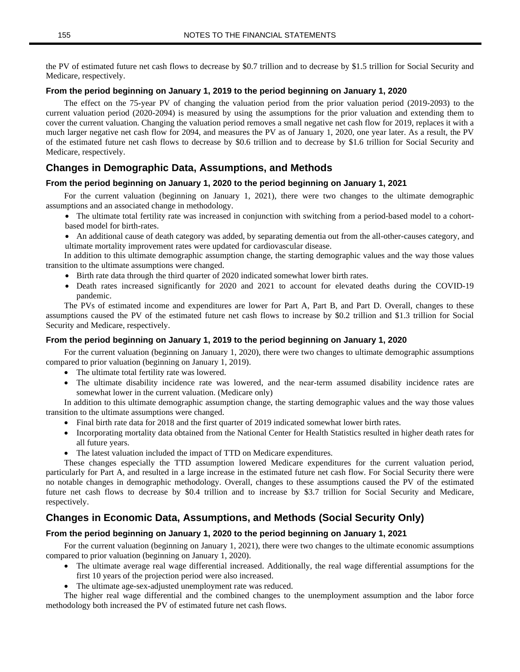the PV of estimated future net cash flows to decrease by \$0.7 trillion and to decrease by \$1.5 trillion for Social Security and Medicare, respectively.

## **From the period beginning on January 1, 2019 to the period beginning on January 1, 2020**

The effect on the 75-year PV of changing the valuation period from the prior valuation period (2019-2093) to the current valuation period (2020-2094) is measured by using the assumptions for the prior valuation and extending them to cover the current valuation. Changing the valuation period removes a small negative net cash flow for 2019, replaces it with a much larger negative net cash flow for 2094, and measures the PV as of January 1, 2020, one year later. As a result, the PV of the estimated future net cash flows to decrease by \$0.6 trillion and to decrease by \$1.6 trillion for Social Security and Medicare, respectively.

## **Changes in Demographic Data, Assumptions, and Methods**

#### **From the period beginning on January 1, 2020 to the period beginning on January 1, 2021**

For the current valuation (beginning on January 1, 2021), there were two changes to the ultimate demographic assumptions and an associated change in methodology.

- The ultimate total fertility rate was increased in conjunction with switching from a period-based model to a cohortbased model for birth-rates.
- An additional cause of death category was added, by separating dementia out from the all-other-causes category, and ultimate mortality improvement rates were updated for cardiovascular disease.

In addition to this ultimate demographic assumption change, the starting demographic values and the way those values transition to the ultimate assumptions were changed.

- Birth rate data through the third quarter of 2020 indicated somewhat lower birth rates.
- Death rates increased significantly for 2020 and 2021 to account for elevated deaths during the COVID-19 pandemic.

The PVs of estimated income and expenditures are lower for Part A, Part B, and Part D. Overall, changes to these assumptions caused the PV of the estimated future net cash flows to increase by \$0.2 trillion and \$1.3 trillion for Social Security and Medicare, respectively.

#### **From the period beginning on January 1, 2019 to the period beginning on January 1, 2020**

For the current valuation (beginning on January 1, 2020), there were two changes to ultimate demographic assumptions compared to prior valuation (beginning on January 1, 2019).

- The ultimate total fertility rate was lowered.
- The ultimate disability incidence rate was lowered, and the near-term assumed disability incidence rates are somewhat lower in the current valuation. (Medicare only)

In addition to this ultimate demographic assumption change, the starting demographic values and the way those values transition to the ultimate assumptions were changed.

- Final birth rate data for 2018 and the first quarter of 2019 indicated somewhat lower birth rates.
- Incorporating mortality data obtained from the National Center for Health Statistics resulted in higher death rates for all future years.
- The latest valuation included the impact of TTD on Medicare expenditures.

These changes especially the TTD assumption lowered Medicare expenditures for the current valuation period, particularly for Part A, and resulted in a large increase in the estimated future net cash flow. For Social Security there were no notable changes in demographic methodology. Overall, changes to these assumptions caused the PV of the estimated future net cash flows to decrease by \$0.4 trillion and to increase by \$3.7 trillion for Social Security and Medicare, respectively.

## **Changes in Economic Data, Assumptions, and Methods (Social Security Only)**

### **From the period beginning on January 1, 2020 to the period beginning on January 1, 2021**

For the current valuation (beginning on January 1, 2021), there were two changes to the ultimate economic assumptions compared to prior valuation (beginning on January 1, 2020).

- The ultimate average real wage differential increased. Additionally, the real wage differential assumptions for the first 10 years of the projection period were also increased.
- The ultimate age-sex-adjusted unemployment rate was reduced.

The higher real wage differential and the combined changes to the unemployment assumption and the labor force methodology both increased the PV of estimated future net cash flows.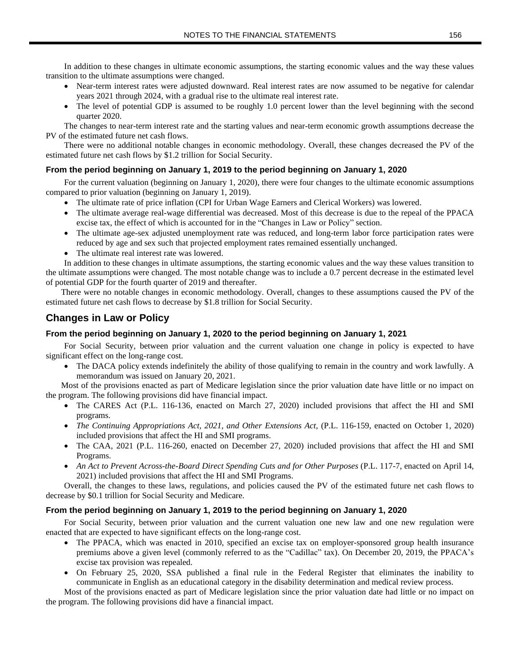In addition to these changes in ultimate economic assumptions, the starting economic values and the way these values transition to the ultimate assumptions were changed.

- Near-term interest rates were adjusted downward. Real interest rates are now assumed to be negative for calendar years 2021 through 2024, with a gradual rise to the ultimate real interest rate.
- The level of potential GDP is assumed to be roughly 1.0 percent lower than the level beginning with the second quarter 2020.

The changes to near-term interest rate and the starting values and near-term economic growth assumptions decrease the PV of the estimated future net cash flows.

There were no additional notable changes in economic methodology. Overall, these changes decreased the PV of the estimated future net cash flows by \$1.2 trillion for Social Security.

## **From the period beginning on January 1, 2019 to the period beginning on January 1, 2020**

For the current valuation (beginning on January 1, 2020), there were four changes to the ultimate economic assumptions compared to prior valuation (beginning on January 1, 2019).

- The ultimate rate of price inflation (CPI for Urban Wage Earners and Clerical Workers) was lowered.
- The ultimate average real-wage differential was decreased. Most of this decrease is due to the repeal of the PPACA excise tax, the effect of which is accounted for in the "Changes in Law or Policy" section.
- The ultimate age-sex adjusted unemployment rate was reduced, and long-term labor force participation rates were reduced by age and sex such that projected employment rates remained essentially unchanged.
- The ultimate real interest rate was lowered.

In addition to these changes in ultimate assumptions, the starting economic values and the way these values transition to the ultimate assumptions were changed. The most notable change was to include a 0.7 percent decrease in the estimated level of potential GDP for the fourth quarter of 2019 and thereafter.

There were no notable changes in economic methodology. Overall, changes to these assumptions caused the PV of the estimated future net cash flows to decrease by \$1.8 trillion for Social Security.

# **Changes in Law or Policy**

### **From the period beginning on January 1, 2020 to the period beginning on January 1, 2021**

For Social Security, between prior valuation and the current valuation one change in policy is expected to have significant effect on the long-range cost.

• The DACA policy extends indefinitely the ability of those qualifying to remain in the country and work lawfully. A memorandum was issued on January 20, 2021.

Most of the provisions enacted as part of Medicare legislation since the prior valuation date have little or no impact on the program. The following provisions did have financial impact.

- The CARES Act (P.L. 116-136, enacted on March 27, 2020) included provisions that affect the HI and SMI programs.
- *The Continuing Appropriations Act, 2021, and Other Extensions Act,* (P.L. 116-159, enacted on October 1, 2020) included provisions that affect the HI and SMI programs.
- The CAA, 2021 (P.L. 116-260, enacted on December 27, 2020) included provisions that affect the HI and SMI Programs.
- *An Act to Prevent Across-the-Board Direct Spending Cuts and for Other Purposes* (P.L. 117-7, enacted on April 14, 2021) included provisions that affect the HI and SMI Programs.

Overall, the changes to these laws, regulations, and policies caused the PV of the estimated future net cash flows to decrease by \$0.1 trillion for Social Security and Medicare.

#### **From the period beginning on January 1, 2019 to the period beginning on January 1, 2020**

For Social Security, between prior valuation and the current valuation one new law and one new regulation were enacted that are expected to have significant effects on the long-range cost.

- The PPACA, which was enacted in 2010, specified an excise tax on employer-sponsored group health insurance premiums above a given level (commonly referred to as the "Cadillac" tax). On December 20, 2019, the PPACA's excise tax provision was repealed.
- On February 25, 2020, SSA published a final rule in the Federal Register that eliminates the inability to communicate in English as an educational category in the disability determination and medical review process.

Most of the provisions enacted as part of Medicare legislation since the prior valuation date had little or no impact on the program. The following provisions did have a financial impact.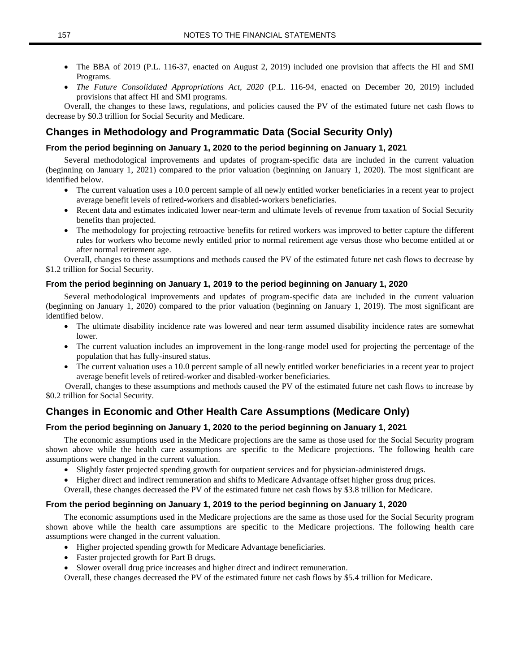- The BBA of 2019 (P.L. 116-37, enacted on August 2, 2019) included one provision that affects the HI and SMI Programs.
- *The Future Consolidated Appropriations Act, 2020* (P.L. 116-94, enacted on December 20, 2019) included provisions that affect HI and SMI programs.

Overall, the changes to these laws, regulations, and policies caused the PV of the estimated future net cash flows to decrease by \$0.3 trillion for Social Security and Medicare.

# **Changes in Methodology and Programmatic Data (Social Security Only)**

## **From the period beginning on January 1, 2020 to the period beginning on January 1, 2021**

Several methodological improvements and updates of program-specific data are included in the current valuation (beginning on January 1, 2021) compared to the prior valuation (beginning on January 1, 2020). The most significant are identified below.

- The current valuation uses a 10.0 percent sample of all newly entitled worker beneficiaries in a recent year to project average benefit levels of retired-workers and disabled-workers beneficiaries.
- Recent data and estimates indicated lower near-term and ultimate levels of revenue from taxation of Social Security benefits than projected.
- The methodology for projecting retroactive benefits for retired workers was improved to better capture the different rules for workers who become newly entitled prior to normal retirement age versus those who become entitled at or after normal retirement age.

Overall, changes to these assumptions and methods caused the PV of the estimated future net cash flows to decrease by \$1.2 trillion for Social Security.

## **From the period beginning on January 1, 2019 to the period beginning on January 1, 2020**

Several methodological improvements and updates of program-specific data are included in the current valuation (beginning on January 1, 2020) compared to the prior valuation (beginning on January 1, 2019). The most significant are identified below.

- The ultimate disability incidence rate was lowered and near term assumed disability incidence rates are somewhat lower.
- The current valuation includes an improvement in the long-range model used for projecting the percentage of the population that has fully-insured status.
- The current valuation uses a 10.0 percent sample of all newly entitled worker beneficiaries in a recent year to project average benefit levels of retired-worker and disabled-worker beneficiaries.

Overall, changes to these assumptions and methods caused the PV of the estimated future net cash flows to increase by \$0.2 trillion for Social Security.

# **Changes in Economic and Other Health Care Assumptions (Medicare Only)**

## **From the period beginning on January 1, 2020 to the period beginning on January 1, 2021**

The economic assumptions used in the Medicare projections are the same as those used for the Social Security program shown above while the health care assumptions are specific to the Medicare projections. The following health care assumptions were changed in the current valuation.

- Slightly faster projected spending growth for outpatient services and for physician-administered drugs.
- Higher direct and indirect remuneration and shifts to Medicare Advantage offset higher gross drug prices.

Overall, these changes decreased the PV of the estimated future net cash flows by \$3.8 trillion for Medicare.

#### **From the period beginning on January 1, 2019 to the period beginning on January 1, 2020**

The economic assumptions used in the Medicare projections are the same as those used for the Social Security program shown above while the health care assumptions are specific to the Medicare projections. The following health care assumptions were changed in the current valuation.

- Higher projected spending growth for Medicare Advantage beneficiaries.
- Faster projected growth for Part B drugs.
- Slower overall drug price increases and higher direct and indirect remuneration.

Overall, these changes decreased the PV of the estimated future net cash flows by \$5.4 trillion for Medicare.